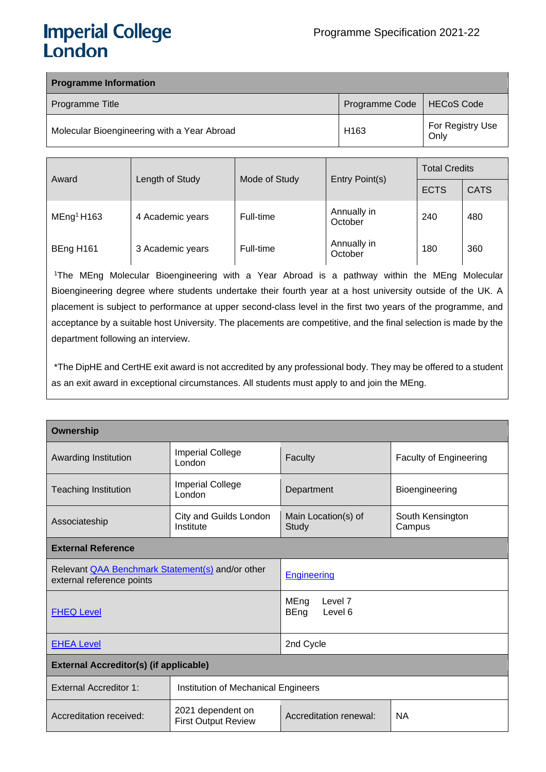# **Imperial College** London

| <b>Programme Information</b>                |                  |                          |
|---------------------------------------------|------------------|--------------------------|
| Programme Title                             | Programme Code   | HECoS Code               |
| Molecular Bioengineering with a Year Abroad | H <sub>163</sub> | For Registry Use<br>Only |

| Award                  | Length of Study  | Mode of Study | Entry Point(s)         | <b>Total Credits</b> |             |  |
|------------------------|------------------|---------------|------------------------|----------------------|-------------|--|
|                        |                  |               |                        | <b>ECTS</b>          | <b>CATS</b> |  |
| MEng <sup>1</sup> H163 | 4 Academic years | Full-time     | Annually in<br>October | 240                  | 480         |  |
| BEng H161              | 3 Academic years | Full-time     | Annually in<br>October | 180                  | 360         |  |

1The MEng Molecular Bioengineering with a Year Abroad is a pathway within the MEng Molecular Bioengineering degree where students undertake their fourth year at a host university outside of the UK. A placement is subject to performance at upper second-class level in the first two years of the programme, and acceptance by a suitable host University. The placements are competitive, and the final selection is made by the department following an interview.

\*The DipHE and CertHE exit award is not accredited by any professional body. They may be offered to a student as an exit award in exceptional circumstances. All students must apply to and join the MEng.

| Ownership                                                                            |                                                 |                                                            |                               |  |  |
|--------------------------------------------------------------------------------------|-------------------------------------------------|------------------------------------------------------------|-------------------------------|--|--|
| Awarding Institution                                                                 | <b>Imperial College</b><br>London               | Faculty                                                    | <b>Faculty of Engineering</b> |  |  |
| <b>Teaching Institution</b>                                                          | <b>Imperial College</b><br>London               | Department                                                 | Bioengineering                |  |  |
| Associateship                                                                        | City and Guilds London<br>Institute             | Main Location(s) of<br>South Kensington<br>Study<br>Campus |                               |  |  |
| <b>External Reference</b>                                                            |                                                 |                                                            |                               |  |  |
| Relevant <b>QAA Benchmark Statement(s)</b> and/or other<br>external reference points |                                                 | <b>Engineering</b>                                         |                               |  |  |
| <b>FHEQ Level</b>                                                                    |                                                 | Level <sub>7</sub><br>MEng<br><b>BEng</b><br>Level 6       |                               |  |  |
| <b>EHEA Level</b>                                                                    |                                                 | 2nd Cycle                                                  |                               |  |  |
| <b>External Accreditor(s) (if applicable)</b>                                        |                                                 |                                                            |                               |  |  |
| <b>External Accreditor 1:</b>                                                        | Institution of Mechanical Engineers             |                                                            |                               |  |  |
| Accreditation received:                                                              | 2021 dependent on<br><b>First Output Review</b> | Accreditation renewal:                                     | <b>NA</b>                     |  |  |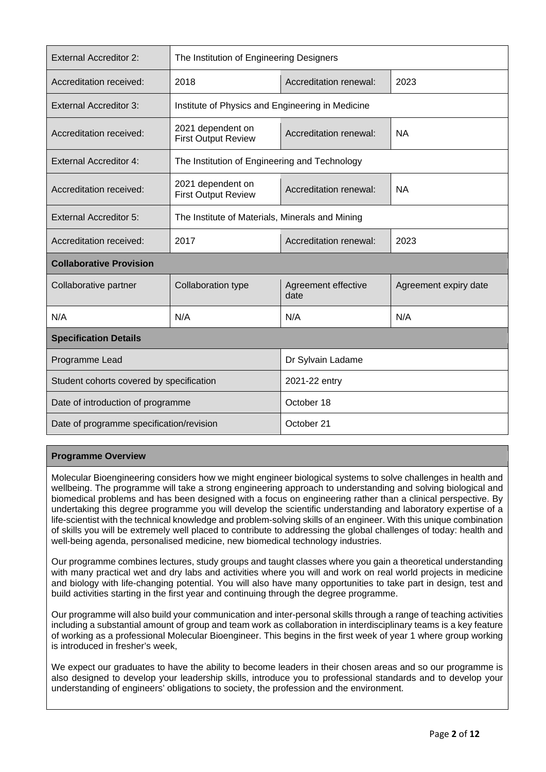| <b>External Accreditor 2:</b>            | The Institution of Engineering Designers         |                             |                       |  |  |
|------------------------------------------|--------------------------------------------------|-----------------------------|-----------------------|--|--|
| Accreditation received:                  | 2018                                             | Accreditation renewal:      | 2023                  |  |  |
| External Accreditor 3:                   | Institute of Physics and Engineering in Medicine |                             |                       |  |  |
| Accreditation received:                  | 2021 dependent on<br><b>First Output Review</b>  | Accreditation renewal:      | <b>NA</b>             |  |  |
| <b>External Accreditor 4:</b>            | The Institution of Engineering and Technology    |                             |                       |  |  |
| Accreditation received:                  | 2021 dependent on<br><b>First Output Review</b>  | Accreditation renewal:      | <b>NA</b>             |  |  |
| <b>External Accreditor 5:</b>            | The Institute of Materials, Minerals and Mining  |                             |                       |  |  |
| Accreditation received:                  | 2017                                             | Accreditation renewal:      | 2023                  |  |  |
| <b>Collaborative Provision</b>           |                                                  |                             |                       |  |  |
| Collaborative partner                    | Collaboration type                               | Agreement effective<br>date | Agreement expiry date |  |  |
| N/A                                      | N/A                                              | N/A                         | N/A                   |  |  |
| <b>Specification Details</b>             |                                                  |                             |                       |  |  |
| Programme Lead                           |                                                  | Dr Sylvain Ladame           |                       |  |  |
| Student cohorts covered by specification |                                                  | 2021-22 entry               |                       |  |  |
| Date of introduction of programme        |                                                  | October 18                  |                       |  |  |
| Date of programme specification/revision |                                                  | October 21                  |                       |  |  |

# **Programme Overview**

Molecular Bioengineering considers how we might engineer biological systems to solve challenges in health and wellbeing. The programme will take a strong engineering approach to understanding and solving biological and biomedical problems and has been designed with a focus on engineering rather than a clinical perspective. By undertaking this degree programme you will develop the scientific understanding and laboratory expertise of a life-scientist with the technical knowledge and problem-solving skills of an engineer. With this unique combination of skills you will be extremely well placed to contribute to addressing the global challenges of today: health and well-being agenda, personalised medicine, new biomedical technology industries.

Our programme combines lectures, study groups and taught classes where you gain a theoretical understanding with many practical wet and dry labs and activities where you will and work on real world projects in medicine and biology with life-changing potential. You will also have many opportunities to take part in design, test and build activities starting in the first year and continuing through the degree programme.

Our programme will also build your communication and inter-personal skills through a range of teaching activities including a substantial amount of group and team work as collaboration in interdisciplinary teams is a key feature of working as a professional Molecular Bioengineer. This begins in the first week of year 1 where group working is introduced in fresher's week,

We expect our graduates to have the ability to become leaders in their chosen areas and so our programme is also designed to develop your leadership skills, introduce you to professional standards and to develop your understanding of engineers' obligations to society, the profession and the environment.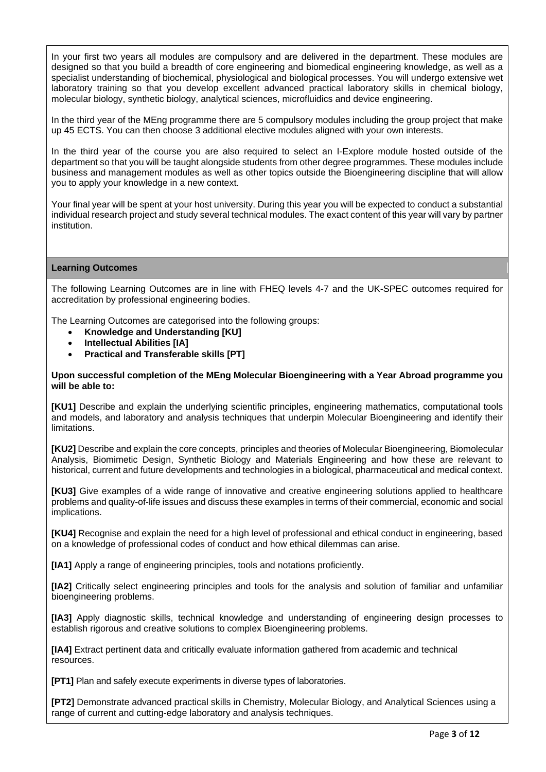In your first two years all modules are compulsory and are delivered in the department. These modules are designed so that you build a breadth of core engineering and biomedical engineering knowledge, as well as a specialist understanding of biochemical, physiological and biological processes. You will undergo extensive wet laboratory training so that you develop excellent advanced practical laboratory skills in chemical biology, molecular biology, synthetic biology, analytical sciences, microfluidics and device engineering.

In the third year of the MEng programme there are 5 compulsory modules including the group project that make up 45 ECTS. You can then choose 3 additional elective modules aligned with your own interests.

In the third year of the course you are also required to select an I-Explore module hosted outside of the department so that you will be taught alongside students from other degree programmes. These modules include business and management modules as well as other topics outside the Bioengineering discipline that will allow you to apply your knowledge in a new context.

Your final year will be spent at your host university. During this year you will be expected to conduct a substantial individual research project and study several technical modules. The exact content of this year will vary by partner institution.

# **Learning Outcomes**

The following Learning Outcomes are in line with FHEQ levels 4-7 and the UK-SPEC outcomes required for accreditation by professional engineering bodies.

The Learning Outcomes are categorised into the following groups:

- **Knowledge and Understanding [KU]**
- **Intellectual Abilities [IA]**
- **Practical and Transferable skills [PT]**

#### **Upon successful completion of the MEng Molecular Bioengineering with a Year Abroad programme you will be able to:**

**[KU1]** Describe and explain the underlying scientific principles, engineering mathematics, computational tools and models, and laboratory and analysis techniques that underpin Molecular Bioengineering and identify their limitations.

**[KU2]** Describe and explain the core concepts, principles and theories of Molecular Bioengineering, Biomolecular Analysis, Biomimetic Design, Synthetic Biology and Materials Engineering and how these are relevant to historical, current and future developments and technologies in a biological, pharmaceutical and medical context.

**[KU3]** Give examples of a wide range of innovative and creative engineering solutions applied to healthcare problems and quality-of-life issues and discuss these examples in terms of their commercial, economic and social implications.

**[KU4]** Recognise and explain the need for a high level of professional and ethical conduct in engineering, based on a knowledge of professional codes of conduct and how ethical dilemmas can arise.

**[IA1]** Apply a range of engineering principles, tools and notations proficiently.

**[IA2]** Critically select engineering principles and tools for the analysis and solution of familiar and unfamiliar bioengineering problems.

**[IA3]** Apply diagnostic skills, technical knowledge and understanding of engineering design processes to establish rigorous and creative solutions to complex Bioengineering problems.

**[IA4]** Extract pertinent data and critically evaluate information gathered from academic and technical resources.

**[PT1]** Plan and safely execute experiments in diverse types of laboratories.

**[PT2]** Demonstrate advanced practical skills in Chemistry, Molecular Biology, and Analytical Sciences using a range of current and cutting-edge laboratory and analysis techniques.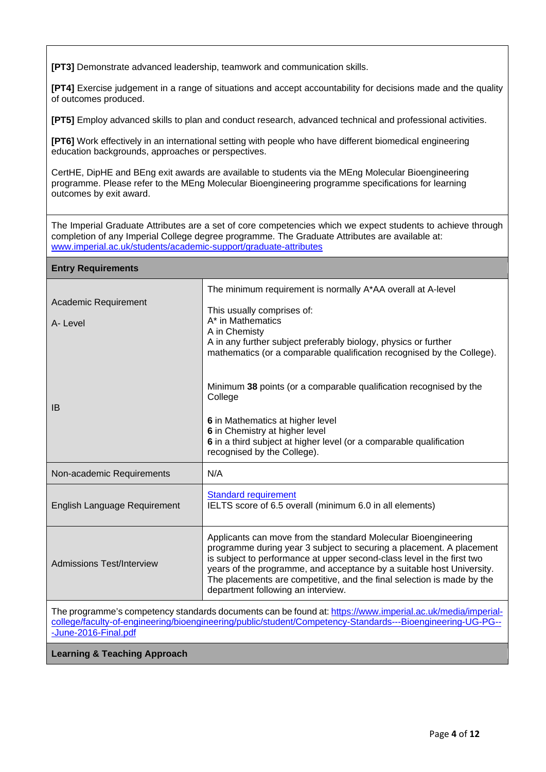**[PT3]** Demonstrate advanced leadership, teamwork and communication skills.

**[PT4]** Exercise judgement in a range of situations and accept accountability for decisions made and the quality of outcomes produced.

**[PT5]** Employ advanced skills to plan and conduct research, advanced technical and professional activities.

**[PT6]** Work effectively in an international setting with people who have different biomedical engineering education backgrounds, approaches or perspectives.

CertHE, DipHE and BEng exit awards are available to students via the MEng Molecular Bioengineering programme. Please refer to the MEng Molecular Bioengineering programme specifications for learning outcomes by exit award.

The Imperial Graduate Attributes are a set of core competencies which we expect students to achieve through completion of any Imperial College degree programme. The Graduate Attributes are available at: [www.imperial.ac.uk/students/academic-support/graduate-attributes](http://www.imperial.ac.uk/students/academic-support/graduate-attributes)

| <b>Entry Requirements</b>        |                                                                                                                                                                                                                                                                                                                                                                                                           |
|----------------------------------|-----------------------------------------------------------------------------------------------------------------------------------------------------------------------------------------------------------------------------------------------------------------------------------------------------------------------------------------------------------------------------------------------------------|
|                                  | The minimum requirement is normally A*AA overall at A-level                                                                                                                                                                                                                                                                                                                                               |
| Academic Requirement             | This usually comprises of:                                                                                                                                                                                                                                                                                                                                                                                |
| A-Level                          | A* in Mathematics<br>A in Chemisty                                                                                                                                                                                                                                                                                                                                                                        |
|                                  | A in any further subject preferably biology, physics or further<br>mathematics (or a comparable qualification recognised by the College).                                                                                                                                                                                                                                                                 |
| IB                               | Minimum 38 points (or a comparable qualification recognised by the<br>College                                                                                                                                                                                                                                                                                                                             |
|                                  | 6 in Mathematics at higher level<br>6 in Chemistry at higher level                                                                                                                                                                                                                                                                                                                                        |
|                                  | 6 in a third subject at higher level (or a comparable qualification<br>recognised by the College).                                                                                                                                                                                                                                                                                                        |
| Non-academic Requirements        | N/A                                                                                                                                                                                                                                                                                                                                                                                                       |
| English Language Requirement     | <b>Standard requirement</b><br>IELTS score of 6.5 overall (minimum 6.0 in all elements)                                                                                                                                                                                                                                                                                                                   |
| <b>Admissions Test/Interview</b> | Applicants can move from the standard Molecular Bioengineering<br>programme during year 3 subject to securing a placement. A placement<br>is subject to performance at upper second-class level in the first two<br>years of the programme, and acceptance by a suitable host University.<br>The placements are competitive, and the final selection is made by the<br>department following an interview. |
|                                  |                                                                                                                                                                                                                                                                                                                                                                                                           |
|                                  | The programme's competency standards documents can be found at: https://www.imperial.ac.uk/media/imperial-<br>college/faculty-of-engineering/bioengineering/public/student/Competency-Standards---Bioengineering-UG-PG--                                                                                                                                                                                  |
| -June-2016-Final.pdf             |                                                                                                                                                                                                                                                                                                                                                                                                           |

**Learning & Teaching Approach**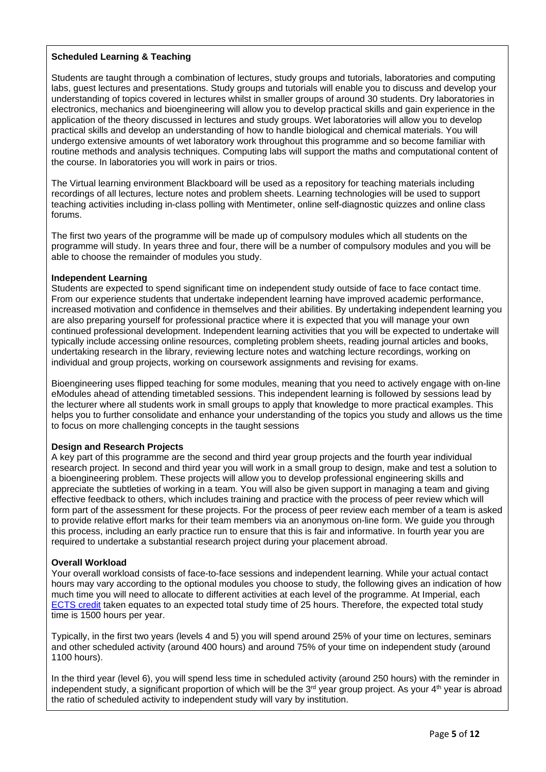# **Scheduled Learning & Teaching**

Students are taught through a combination of lectures, study groups and tutorials, laboratories and computing labs, guest lectures and presentations. Study groups and tutorials will enable you to discuss and develop your understanding of topics covered in lectures whilst in smaller groups of around 30 students. Dry laboratories in electronics, mechanics and bioengineering will allow you to develop practical skills and gain experience in the application of the theory discussed in lectures and study groups. Wet laboratories will allow you to develop practical skills and develop an understanding of how to handle biological and chemical materials. You will undergo extensive amounts of wet laboratory work throughout this programme and so become familiar with routine methods and analysis techniques. Computing labs will support the maths and computational content of the course. In laboratories you will work in pairs or trios.

The Virtual learning environment Blackboard will be used as a repository for teaching materials including recordings of all lectures, lecture notes and problem sheets. Learning technologies will be used to support teaching activities including in-class polling with Mentimeter, online self-diagnostic quizzes and online class forums.

The first two years of the programme will be made up of compulsory modules which all students on the programme will study. In years three and four, there will be a number of compulsory modules and you will be able to choose the remainder of modules you study.

#### **Independent Learning**

Students are expected to spend significant time on independent study outside of face to face contact time. From our experience students that undertake independent learning have improved academic performance, increased motivation and confidence in themselves and their abilities. By undertaking independent learning you are also preparing yourself for professional practice where it is expected that you will manage your own continued professional development. Independent learning activities that you will be expected to undertake will typically include accessing online resources, completing problem sheets, reading journal articles and books, undertaking research in the library, reviewing lecture notes and watching lecture recordings, working on individual and group projects, working on coursework assignments and revising for exams.

Bioengineering uses flipped teaching for some modules, meaning that you need to actively engage with on-line eModules ahead of attending timetabled sessions. This independent learning is followed by sessions lead by the lecturer where all students work in small groups to apply that knowledge to more practical examples. This helps you to further consolidate and enhance your understanding of the topics you study and allows us the time to focus on more challenging concepts in the taught sessions

#### **Design and Research Projects**

A key part of this programme are the second and third year group projects and the fourth year individual research project. In second and third year you will work in a small group to design, make and test a solution to a bioengineering problem. These projects will allow you to develop professional engineering skills and appreciate the subtleties of working in a team. You will also be given support in managing a team and giving effective feedback to others, which includes training and practice with the process of peer review which will form part of the assessment for these projects. For the process of peer review each member of a team is asked to provide relative effort marks for their team members via an anonymous on-line form. We guide you through this process, including an early practice run to ensure that this is fair and informative. In fourth year you are required to undertake a substantial research project during your placement abroad.

# **Overall Workload**

Your overall workload consists of face-to-face sessions and independent learning. While your actual contact hours may vary according to the optional modules you choose to study, the following gives an indication of how much time you will need to allocate to different activities at each level of the programme. At Imperial, each [ECTS](https://www.imperial.ac.uk/study/ug/apply/our-degrees/) credit taken equates to an expected total study time of 25 hours. Therefore, the expected total study time is 1500 hours per year.

Typically, in the first two years (levels 4 and 5) you will spend around 25% of your time on lectures, seminars and other scheduled activity (around 400 hours) and around 75% of your time on independent study (around 1100 hours).

In the third year (level 6), you will spend less time in scheduled activity (around 250 hours) with the reminder in independent study, a significant proportion of which will be the  $3<sup>rd</sup>$  year group project. As your  $4<sup>th</sup>$  year is abroad the ratio of scheduled activity to independent study will vary by institution.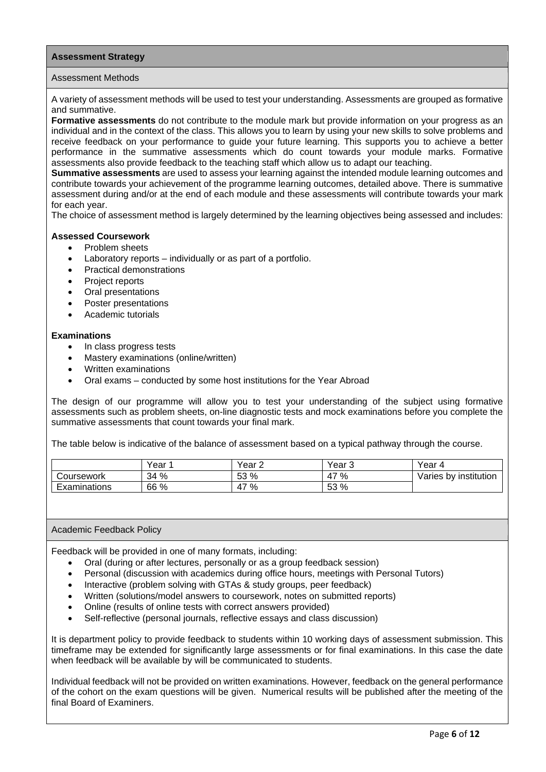#### **Assessment Strategy**

#### Assessment Methods

A variety of assessment methods will be used to test your understanding. Assessments are grouped as formative and summative.

**Formative assessments** do not contribute to the module mark but provide information on your progress as an individual and in the context of the class. This allows you to learn by using your new skills to solve problems and receive feedback on your performance to guide your future learning. This supports you to achieve a better performance in the summative assessments which do count towards your module marks. Formative assessments also provide feedback to the teaching staff which allow us to adapt our teaching.

**Summative assessments** are used to assess your learning against the intended module learning outcomes and contribute towards your achievement of the programme learning outcomes, detailed above. There is summative assessment during and/or at the end of each module and these assessments will contribute towards your mark for each year.

The choice of assessment method is largely determined by the learning objectives being assessed and includes:

#### **Assessed Coursework**

- Problem sheets
- Laboratory reports individually or as part of a portfolio.
- Practical demonstrations
- Project reports
- Oral presentations
- Poster presentations
- Academic tutorials

#### **Examinations**

- In class progress tests
- Mastery examinations (online/written)
- Written examinations
- Oral exams conducted by some host institutions for the Year Abroad

The design of our programme will allow you to test your understanding of the subject using formative assessments such as problem sheets, on-line diagnostic tests and mock examinations before you complete the summative assessments that count towards your final mark.

The table below is indicative of the balance of assessment based on a typical pathway through the course.

|              | Year | Year 2            | ∕ear<br>ر. | Year                  |
|--------------|------|-------------------|------------|-----------------------|
| Coursework   | 34 % | <b>53 %</b><br>ഄഄ | %<br>47    | Varies by institution |
| Examinations | 66 % | %<br>4,           | 53 %       |                       |

#### Academic Feedback Policy

Feedback will be provided in one of many formats, including:

- Oral (during or after lectures, personally or as a group feedback session)
- Personal (discussion with academics during office hours, meetings with Personal Tutors)
- Interactive (problem solving with GTAs & study groups, peer feedback)
- Written (solutions/model answers to coursework, notes on submitted reports)
- Online (results of online tests with correct answers provided)
- Self-reflective (personal journals, reflective essays and class discussion)

It is department policy to provide feedback to students within 10 working days of assessment submission. This timeframe may be extended for significantly large assessments or for final examinations. In this case the date when feedback will be available by will be communicated to students.

Individual feedback will not be provided on written examinations. However, feedback on the general performance of the cohort on the exam questions will be given. Numerical results will be published after the meeting of the final Board of Examiners.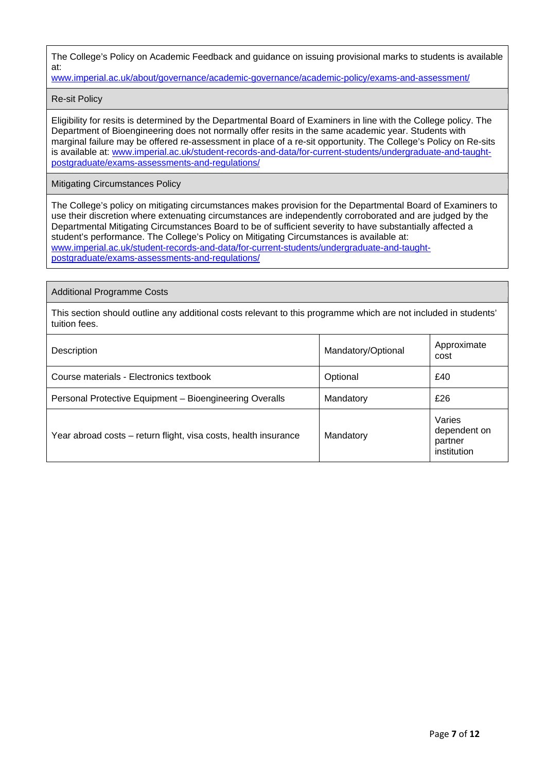The College's Policy on Academic Feedback and guidance on issuing provisional marks to students is available at:

[www.imperial.ac.uk/about/governance/academic-governance/academic-policy/exams-and-assessment/](http://www.imperial.ac.uk/about/governance/academic-governance/academic-policy/exams-and-assessment/)

Re-sit Policy

Eligibility for resits is determined by the Departmental Board of Examiners in line with the College policy. The Department of Bioengineering does not normally offer resits in the same academic year. Students with marginal failure may be offered re-assessment in place of a re-sit opportunity. The College's Policy on Re-sits is available at: [www.imperial.ac.uk/student-records-and-data/for-current-students/undergraduate-and-taught](http://www.imperial.ac.uk/student-records-and-data/for-current-students/undergraduate-and-taught-postgraduate/exams-assessments-and-regulations/)[postgraduate/exams-assessments-and-regulations/](http://www.imperial.ac.uk/student-records-and-data/for-current-students/undergraduate-and-taught-postgraduate/exams-assessments-and-regulations/)

Mitigating Circumstances Policy

The College's policy on mitigating circumstances makes provision for the Departmental Board of Examiners to use their discretion where extenuating circumstances are independently corroborated and are judged by the Departmental Mitigating Circumstances Board to be of sufficient severity to have substantially affected a student's performance. The College's Policy on Mitigating Circumstances is available at: [www.imperial.ac.uk/student-records-and-data/for-current-students/undergraduate-and-taught](http://www.imperial.ac.uk/student-records-and-data/for-current-students/undergraduate-and-taught-postgraduate/exams-assessments-and-regulations/)[postgraduate/exams-assessments-and-regulations/](http://www.imperial.ac.uk/student-records-and-data/for-current-students/undergraduate-and-taught-postgraduate/exams-assessments-and-regulations/)

Additional Programme Costs

This section should outline any additional costs relevant to this programme which are not included in students' tuition fees.

| Description                                                     | Mandatory/Optional | Approximate<br>cost                              |
|-----------------------------------------------------------------|--------------------|--------------------------------------------------|
| Course materials - Electronics textbook                         | Optional           | £40                                              |
| Personal Protective Equipment - Bioengineering Overalls         | Mandatory          | £26                                              |
| Year abroad costs – return flight, visa costs, health insurance | Mandatory          | Varies<br>dependent on<br>partner<br>institution |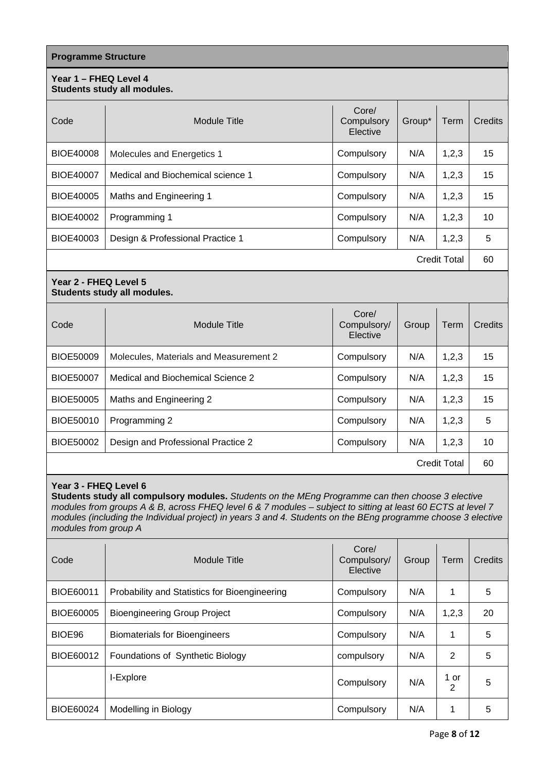| <b>Programme Structure</b> |                                        |                                  |        |                     |         |
|----------------------------|----------------------------------------|----------------------------------|--------|---------------------|---------|
| Year 1 - FHEQ Level 4      | Students study all modules.            |                                  |        |                     |         |
| Code                       | <b>Module Title</b>                    | Core/<br>Compulsory<br>Elective  | Group* | Term                | Credits |
| <b>BIOE40008</b>           | Molecules and Energetics 1             | Compulsory                       | N/A    | 1,2,3               | 15      |
| <b>BIOE40007</b>           | Medical and Biochemical science 1      | Compulsory                       | N/A    | 1,2,3               | 15      |
| BIOE40005                  | Maths and Engineering 1                | Compulsory                       | N/A    | 1,2,3               | 15      |
| <b>BIOE40002</b>           | Programming 1                          | Compulsory                       | N/A    | 1,2,3               | 10      |
| BIOE40003                  | Design & Professional Practice 1       | Compulsory                       | N/A    | 1,2,3               | 5       |
| <b>Credit Total</b>        |                                        |                                  |        | 60                  |         |
| Year 2 - FHEQ Level 5      | Students study all modules.            |                                  |        |                     |         |
| Code                       | <b>Module Title</b>                    | Core/<br>Compulsory/<br>Elective | Group  | Term                | Credits |
| <b>BIOE50009</b>           | Molecules, Materials and Measurement 2 | Compulsory                       | N/A    | 1,2,3               | 15      |
| <b>BIOE50007</b>           | Medical and Biochemical Science 2      | Compulsory                       | N/A    | 1,2,3               | 15      |
| <b>BIOE50005</b>           | Maths and Engineering 2                | Compulsory                       | N/A    | 1,2,3               | 15      |
| BIOE50010                  | Programming 2                          | Compulsory                       | N/A    | 1,2,3               | 5       |
| BIOE50002                  | Design and Professional Practice 2     | Compulsory                       | N/A    | 1,2,3               | 10      |
|                            |                                        |                                  |        | <b>Credit Total</b> | 60      |

# **Year 3 - FHEQ Level 6**

**Students study all compulsory modules.** *Students on the MEng Programme can then choose 3 elective modules from groups A & B, across FHEQ level 6 & 7 modules – subject to sitting at least 60 ECTS at level 7 modules (including the Individual project) in years 3 and 4. Students on the BEng programme choose 3 elective modules from group A*

| Code             | Module Title                                  | Core/<br>Compulsory/<br>Elective | Group | Term      | Credits |
|------------------|-----------------------------------------------|----------------------------------|-------|-----------|---------|
| <b>BIOE60011</b> | Probability and Statistics for Bioengineering | Compulsory                       | N/A   | 1         | 5       |
| <b>BIOE60005</b> | <b>Bioengineering Group Project</b>           | Compulsory                       | N/A   | 1,2,3     | 20      |
| BIOE96           | <b>Biomaterials for Bioengineers</b>          | Compulsory                       | N/A   | 1         | 5       |
| BIOE60012        | Foundations of Synthetic Biology              | compulsory                       | N/A   | 2         | 5       |
|                  | I-Explore                                     | Compulsory                       | N/A   | 1 or<br>2 | 5       |
| BIOE60024        | Modelling in Biology                          | Compulsory                       | N/A   | 1         | 5       |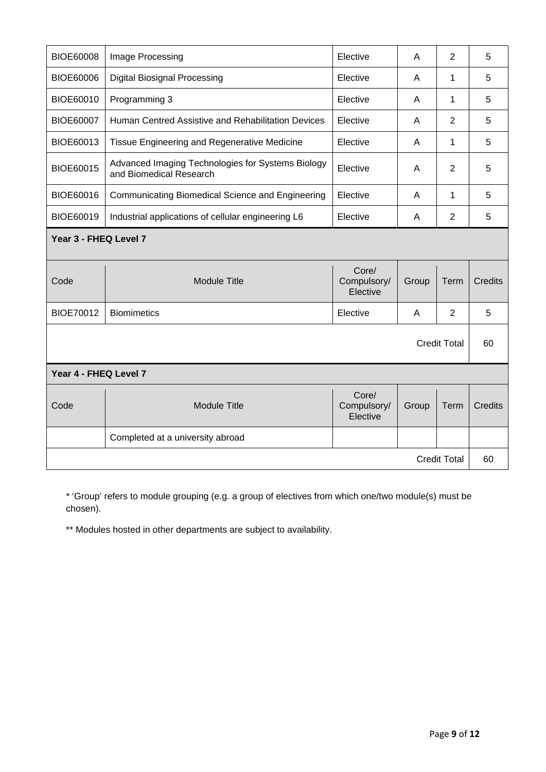| <b>BIOE60008</b>      | Image Processing                                                             | Elective                         | A     | 2                   | 5              |
|-----------------------|------------------------------------------------------------------------------|----------------------------------|-------|---------------------|----------------|
| BIOE60006             | <b>Digital Biosignal Processing</b>                                          | Elective                         | A     | 1                   | 5              |
| BIOE60010             | Programming 3                                                                | Elective                         | A     | 1                   | 5              |
| <b>BIOE60007</b>      | Human Centred Assistive and Rehabilitation Devices                           | Elective                         | A     | 2                   | 5              |
| BIOE60013             | Tissue Engineering and Regenerative Medicine                                 | Elective                         | A     | 1                   | 5              |
| BIOE60015             | Advanced Imaging Technologies for Systems Biology<br>and Biomedical Research | Elective                         | A     | $\overline{2}$      | 5              |
| BIOE60016             | Communicating Biomedical Science and Engineering                             | Elective                         | A     | 1                   | 5              |
| BIOE60019             | Industrial applications of cellular engineering L6                           | Elective                         | A     | $\overline{2}$      | 5              |
| Year 3 - FHEQ Level 7 |                                                                              |                                  |       |                     |                |
| Code                  | <b>Module Title</b>                                                          | Core/<br>Compulsory/<br>Elective | Group | <b>Term</b>         | Credits        |
| <b>BIOE70012</b>      | <b>Biomimetics</b>                                                           | Elective                         | A     | $\overline{2}$      | 5              |
| <b>Credit Total</b>   |                                                                              |                                  |       | 60                  |                |
| Year 4 - FHEQ Level 7 |                                                                              |                                  |       |                     |                |
| Code                  | <b>Module Title</b>                                                          | Core/<br>Compulsory/<br>Elective | Group | Term                | <b>Credits</b> |
|                       | Completed at a university abroad                                             |                                  |       |                     |                |
|                       |                                                                              |                                  |       | <b>Credit Total</b> | 60             |

\* 'Group' refers to module grouping (e.g. a group of electives from which one/two module(s) must be chosen).

\*\* Modules hosted in other departments are subject to availability.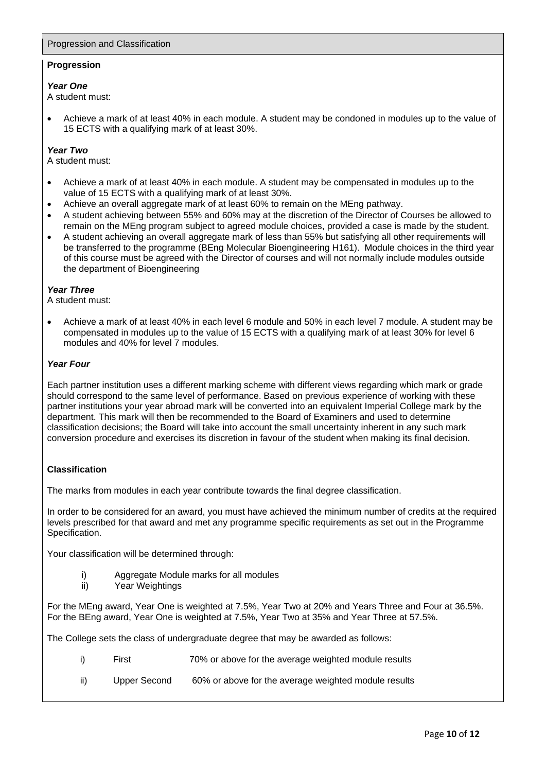# Progression and Classification

# **Progression**

#### *Year One*

A student must:

• Achieve a mark of at least 40% in each module. A student may be condoned in modules up to the value of 15 ECTS with a qualifying mark of at least 30%.

### *Year Two*

A student must:

- Achieve a mark of at least 40% in each module. A student may be compensated in modules up to the value of 15 ECTS with a qualifying mark of at least 30%.
- Achieve an overall aggregate mark of at least 60% to remain on the MEng pathway.
- A student achieving between 55% and 60% may at the discretion of the Director of Courses be allowed to remain on the MEng program subject to agreed module choices, provided a case is made by the student.
- A student achieving an overall aggregate mark of less than 55% but satisfying all other requirements will be transferred to the programme (BEng Molecular Bioengineering H161). Module choices in the third year of this course must be agreed with the Director of courses and will not normally include modules outside the department of Bioengineering

#### *Year Three*

A student must:

• Achieve a mark of at least 40% in each level 6 module and 50% in each level 7 module. A student may be compensated in modules up to the value of 15 ECTS with a qualifying mark of at least 30% for level 6 modules and 40% for level 7 modules.

# *Year Four*

Each partner institution uses a different marking scheme with different views regarding which mark or grade should correspond to the same level of performance. Based on previous experience of working with these partner institutions your year abroad mark will be converted into an equivalent Imperial College mark by the department. This mark will then be recommended to the Board of Examiners and used to determine classification decisions; the Board will take into account the small uncertainty inherent in any such mark conversion procedure and exercises its discretion in favour of the student when making its final decision.

# **Classification**

The marks from modules in each year contribute towards the final degree classification.

In order to be considered for an award, you must have achieved the minimum number of credits at the required levels prescribed for that award and met any programme specific requirements as set out in the Programme Specification.

Your classification will be determined through:

- i) Aggregate Module marks for all modules<br>ii) Year Weightings
- Year Weightings

For the MEng award, Year One is weighted at 7.5%, Year Two at 20% and Years Three and Four at 36.5%. For the BEng award, Year One is weighted at 7.5%, Year Two at 35% and Year Three at 57.5%.

The College sets the class of undergraduate degree that may be awarded as follows:

- i) First 70% or above for the average weighted module results
- ii) Upper Second 60% or above for the average weighted module results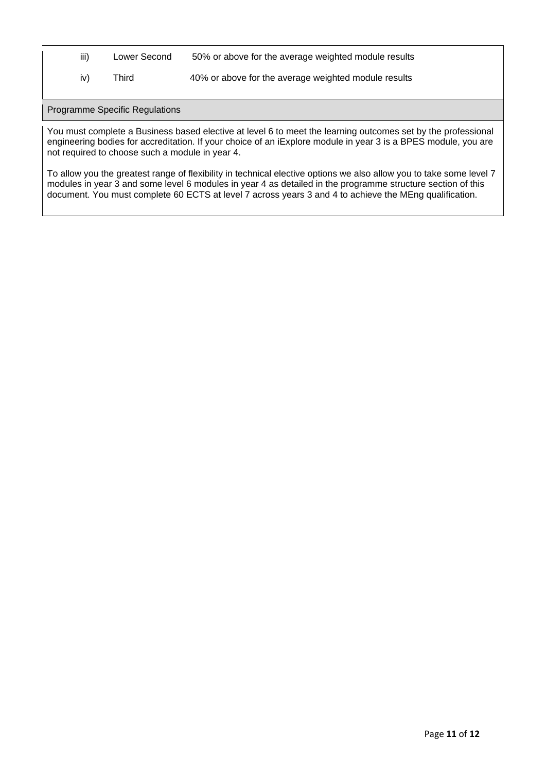- iii) Lower Second 50% or above for the average weighted module results
- iv) Third 40% or above for the average weighted module results

Programme Specific Regulations

You must complete a Business based elective at level 6 to meet the learning outcomes set by the professional engineering bodies for accreditation. If your choice of an iExplore module in year 3 is a BPES module, you are not required to choose such a module in year 4.

To allow you the greatest range of flexibility in technical elective options we also allow you to take some level 7 modules in year 3 and some level 6 modules in year 4 as detailed in the programme structure section of this document. You must complete 60 ECTS at level 7 across years 3 and 4 to achieve the MEng qualification.